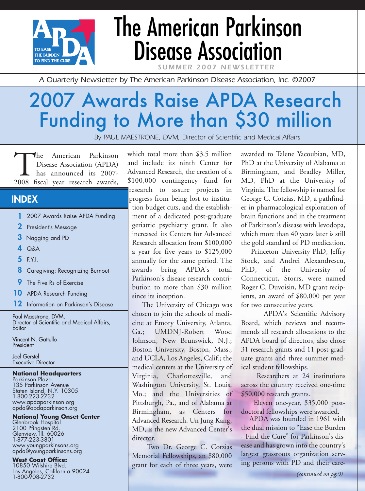

# The American Parkinson Disease Association

**SUMMER 2007 NEWSLET** 

*A Quarterly Newsletter by The American Parkinson Disease Association, Inc. ©2007*

# 2007 Awards Raise APDA Research Funding to More than \$30 million

*By PAUL MAESTRONE, DVM, Director of Scientific and Medical Affairs*

The American Parkinson<br>Disease Association (APDA)<br>2008 fiscal year research awards, Disease Association (APDA) has announced its 2007-

### **INDEX**

- **1** 2007 Awards Raise APDA Funding
- **2** President's Message
- **3** Nagging and PD
- **4** Q&A
- **5** F.Y.I.
- **8** Caregiving: Recognizing Burnout
- **9** The Five Rs of Exercise
- **10** APDA Research Funding
- **12** Information on Parkinson's Disease

Paul Maestrone, DVM, Director of Scientific and Medical Affairs, **Editor** 

Vincent N. Gattullo President

Joel Gerstel Executive Director

#### **National Headquarters**

Parkinson Plaza 135 Parkinson Avenue Staten Island, N.Y. 10305 1-800-223-2732 www.apdaparkinson.org apda@apdaparkinson.org

#### **National Young Onset Center** Glenbrook Hospital

2100 Pfingsten Rd. Glenview, Ill. 60026 1-877-223-3801 www.youngparkinsons.org apda@youngparkinsons.org

### **West Coast Office:**

10850 Wilshire Blvd. Los Angeles, California 90024 1-800-908-2732

which total more than \$3.5 million and include its ninth Center for Advanced Research, the creation of a \$100,000 contingency fund for research to assure projects in progress from being lost to institution budget cuts, and the establishment of a dedicated post-graduate geriatric psychiatry grant. It also increased its Centers for Advanced Research allocation from \$100,000 a year for five years to \$125,000 annually for the same period. The awards bring APDA's total Parkinson's disease research contribution to more than \$30 million since its inception.

The University of Chicago was chosen to join the schools of medicine at Emory University, Atlanta, Ga.; UMDNJ-Robert Wood Johnson, New Brunswick, N.J.; Boston University, Boston, Mass.; and UCLA, Los Angeles, Calif.; the medical centers at the University of Virginia, Charlottesville, and Washington University, St. Louis, Mo.; and the Universities of Pittsburgh, Pa., and of Alabama at Birmingham, as Centers for Advanced Research. Un Jung Kang, MD, is the new Advanced Center's director.

Two Dr. George C. Cotzias Memorial Fellowships, an \$80,000 grant for each of three years, were awarded to Talene Yacoubian, MD, PhD at the University of Alabama at Birmingham, and Bradley Miller, MD, PhD at the University of Virginia. The fellowship is named for George C. Cotzias, MD, a pathfinder in pharmacological exploration of brain functions and in the treatment of Parkinson's disease with levodopa, which more than 40 years later is still the gold standard of PD medication.

Princeton University PhD, Jeffry Stock, and Andrei Alexandrescu, PhD, of the University of Connecticut, Storrs, were named Roger C. Duvoisin, MD grant recipients, an award of \$80,000 per year for two consecutive years.

APDA's Scientific Advisory Board, which reviews and recommends all research allocations to the APDA board of directors, also chose 31 research grants and 11 post-graduate grants and three summer medical student fellowships.

Researchers at 24 institutions across the country received one-time \$50,000 research grants.

Eleven one-year, \$35,000 postdoctoral fellowships were awarded.

APDA was founded in 1961 with the dual mission to "Ease the Burden - Find the Cure" for Parkinson's disease and has grown into the country's largest grassroots organization serving persons with PD and their care-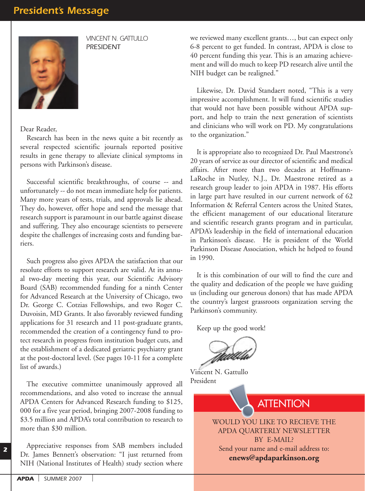

*VINCENT N. GATTULLO PRESIDENT*

Dear Reader,

Research has been in the news quite a bit recently as several respected scientific journals reported positive results in gene therapy to alleviate clinical symptoms in persons with Parkinson's disease.

Successful scientific breakthroughs, of course -- and unfortunately -- do not mean immediate help for patients. Many more years of tests, trials, and approvals lie ahead. They do, however, offer hope and send the message that research support is paramount in our battle against disease and suffering. They also encourage scientists to persevere despite the challenges of increasing costs and funding barriers.

Such progress also gives APDA the satisfaction that our resolute efforts to support research are valid. At its annual two-day meeting this year, our Scientific Advisory Board (SAB) recommended funding for a ninth Center for Advanced Research at the University of Chicago, two Dr. George C. Cotzias Fellowships, and two Roger C. Duvoisin, MD Grants. It also favorably reviewed funding applications for 31 research and 11 post-graduate grants, recommended the creation of a contingency fund to protect research in progress from institution budget cuts, and the establishment of a dedicated geriatric psychiatry grant at the post-doctoral level. (See pages 10-11 for a complete list of awards.)

The executive committee unanimously approved all recommendations, and also voted to increase the annual APDA Centers for Advanced Research funding to \$125, 000 for a five year period, bringing 2007-2008 funding to \$3.5 million and APDA's total contribution to research to more than \$30 million.

Appreciative responses from SAB members included Dr. James Bennett's observation: "I just returned from NIH (National Institutes of Health) study section where

we reviewed many excellent grants…, but can expect only 6-8 percent to get funded. In contrast, APDA is close to 40 percent funding this year. This is an amazing achievement and will do much to keep PD research alive until the NIH budget can be realigned."

Likewise, Dr. David Standaert noted, "This is a very impressive accomplishment. It will fund scientific studies that would not have been possible without APDA support, and help to train the next generation of scientists and clinicians who will work on PD. My congratulations to the organization."

It is appropriate also to recognized Dr. Paul Maestrone's 20 years of service as our director of scientific and medical affairs. After more than two decades at Hoffmann-LaRoche in Nutley, N.J., Dr. Maestrone retired as a research group leader to join APDA in 1987. His efforts in large part have resulted in our current network of 62 Information & Referral Centers across the United States, the efficient management of our educational literature and scientific research grants program and in particular, APDA's leadership in the field of international education in Parkinson's disease. He is president of the World Parkinson Disease Association, which he helped to found in 1990.

It is this combination of our will to find the cure and the quality and dedication of the people we have guiding us (including our generous donors) that has made APDA the country's largest grassroots organization serving the Parkinson's community.

Keep up the good work!

Vincent N. Gattullo President

**ATTENTION** 

WOULD YOU LIKE TO RECIEVE THE APDA QUARTERLY NEWSLETTER BY E-MAIL? Send your name and e-mail address to: **enews@apdaparkinson.org**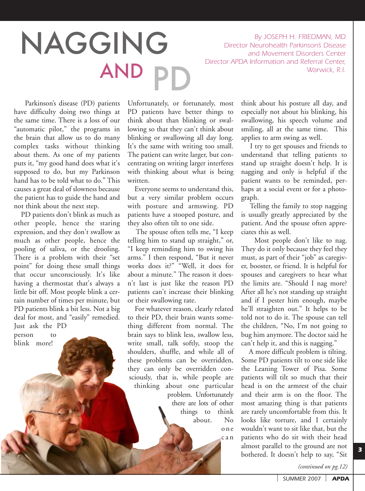By JOSEPH H. FRIEDMAN, MD<br>Director Neurohealth Parkinson's Disease<br>and Movement Disorders Center<br>Director APDA Information and Referral Center. *Director APDA Information and Referral Center,* AND *Warwick, R.I.* PD

*Director Neurohealth Parkinson's Disease and Movement Disorders Center*

Parkinson's disease (PD) patients have difficulty doing two things at the same time. There is a loss of our "automatic pilot," the programs in the brain that allow us to do many complex tasks without thinking about them. As one of my patients puts it, "my good hand does what it's supposed to do, but my Parkinson hand has to be told what to do." This causes a great deal of slowness because the patient has to guide the hand and not think about the next step.

PD patients don't blink as much as other people, hence the staring expression, and they don't swallow as much as other people, hence the pooling of saliva, or the drooling. There is a problem with their "set point" for doing these small things that occur unconsciously. It's like having a thermostat that's always a little bit off. Most people blink a certain number of times per minute, but PD patients blink a bit less. Not a big deal for most, and "easily" remedied. Just ask the PD

person to blink more!

Unfortunately, or fortunately, most PD patients have better things to think about than blinking or swallowing so that they can't think about blinking or swallowing all day long. It's the same with writing too small. The patient can write larger, but concentrating on writing larger interferes with thinking about what is being written.

Everyone seems to understand this, but a very similar problem occurs with posture and armswing. PD patients have a stooped posture, and they also often tilt to one side.

The spouse often tells me, "I keep telling him to stand up straight," or, "I keep reminding him to swing his arms." I then respond, "But it never works does it?" "Well, it does for about a minute." The reason it doesn't last is just like the reason PD patients can't increase their blinking or their swallowing rate.

For whatever reason, clearly related to their PD, their brain wants something different from normal. The brain says to blink less, swallow less, write small, talk softly, stoop the shoulders, shuffle, and while all of these problems can be overridden, they can only be overridden consciously, that is, while people are thinking about one particular problem. Unfortunately there are lots of other things to think about. No one can

think about his posture all day, and especially not about his blinking, his swallowing, his speech volume and smiling, all at the same time. This applies to arm swing as well.

I try to get spouses and friends to understand that telling patients to stand up straight doesn't help. It is nagging and only is helpful if the patient wants to be reminded, perhaps at a social event or for a photograph.

Telling the family to stop nagging is usually greatly appreciated by the patient. And the spouse often appreciates this as well.

Most people don't like to nag. They do it only because they feel they must, as part of their "job" as caregiver, booster, or friend. It is helpful for spouses and caregivers to hear what the limits are. "Should I nag more? After all he's not standing up straight and if I pester him enough, maybe he'll straighten out." It helps to be told not to do it. The spouse can tell the children, "No, I'm not going to bug him anymore. The doctor said he can't help it, and this is nagging."

A more difficult problem is tilting. Some PD patients tilt to one side like the Leaning Tower of Pisa. Some patients will tilt so much that their head is on the armrest of the chair and their arm is on the floor. The most amazing thing is that patients are rarely uncomfortable from this. It looks like torture, and I certainly wouldn't want to sit like that, but the patients who do sit with their head almost parallel to the ground are not bothered. It doesn't help to say, "Sit

*(continued on pg.12)*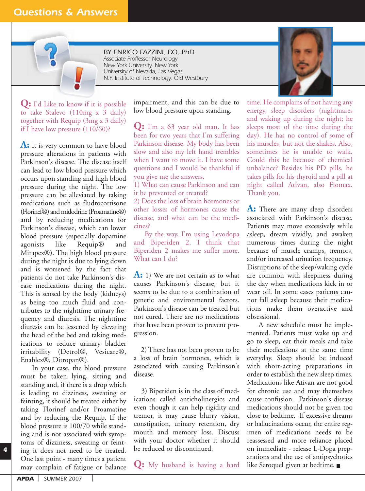### *Questions & Answers*



**Q:** I'd Like to know if it is possible to take Stalevo (110mg x 3 daily) together with Requip (3mg x 3 daily) if I have low pressure (110/60)?

**A:** It is very common to have blood pressure alterations in patients with Parkinson's disease. The disease itself can lead to low blood pressure which occurs upon standing and high blood pressure during the night. The low pressure can be alleviated by taking medications such as fludrocortisone (Florinef®) and midodrine (Proamatine®) and by reducing medications for Parkinson's disease, which can lower blood pressure (especially dopamine agonists like Requip® and Mirapex®). The high blood pressure during the night is due to lying down and is worsened by the fact that patients do not take Parkinson's disease medications during the night. This is sensed by the body (kidneys) as being too much fluid and contributes to the nighttime urinary frequency and diuresis. The nighttime diuresis can be lessened by elevating the head of the bed and taking medications to reduce urinary bladder irritability (Detrol®, Vesicare®, Enablex®, Ditropan®).

In your case, the blood pressure must be taken lying, sitting and standing and, if there is a drop which is leading to dizziness, sweating or feinting, it should be treated either by taking Florinef and/or Proamatine and by reducing the Requip. If the blood pressure is 100/70 while standing and is not associated with symptoms of dizziness, sweating or feinting it does not need to be treated. One last point - many times a patient may complain of fatigue or balance

impairment, and this can be due to low blood pressure upon standing.

**Q:** I'm a 63 year old man. It has been for two years that I'm suffering Parkinson disease. My body has been slow and also my left hand trembles when I want to move it. I have some questions and I would be thankful if you give me the answers.

1) What can cause Parkinson and can it be prevented or treated?

2) Does the loss of brain hormones or other losses of hormones cause the disease, and what can be the medicines?

By the way, I'm using Levodopa and Biperiden 2. I think that Biperiden 2 makes me suffer more. What can I do?

**A:** 1) We are not certain as to what causes Parkinson's disease, but it seems to be due to a combination of genetic and environmental factors. Parkinson's disease can be treated but not cured. There are no medications that have been proven to prevent progression.

2) There has not been proven to be a loss of brain hormones, which is associated with causing Parkinson's disease.

3) Biperiden is in the class of medications called anticholinergics and even though it can help rigidity and tremor, it may cause blurry vision, constipation, urinary retention, dry mouth and memory loss. Discuss with your doctor whether it should be reduced or discontinued.

**Q:** My husband is having a hard

time. He complains of not having any energy, sleep disorders (nightmares and waking up during the night; he sleeps most of the time during the day). He has no control of some of his muscles, but not the shakes. Also, sometimes he is unable to walk. Could this be because of chemical unbalance? Besides his PD pills, he takes pills for his thyroid and a pill at night called Ativan, also Flomax. Thank you.

**A:** There are many sleep disorders associated with Parkinson's disease. Patients may move excessively while asleep, dream vividly, and awaken numerous times during the night because of muscle cramps, tremors, and/or increased urination frequency. Disruptions of the sleep/waking cycle are common with sleepiness during the day when medications kick in or wear off. In some cases patients cannot fall asleep because their medications make them overactive and obsessional.

A new schedule must be implemented. Patients must wake up and go to sleep, eat their meals and take their medications at the same time everyday. Sleep should be induced with short-acting preparations in order to establish the new sleep times. Medications like Ativan are not good for chronic use and may themselves cause confusion. Parkinson's disease medications should not be given too close to bedtime. If excessive dreams or hallucinations occur, the entire regimen of medications needs to be reassessed and more reliance placed on immediate - release L-Dopa preparations and the use of antipsychotics like Seroquel given at bedtime.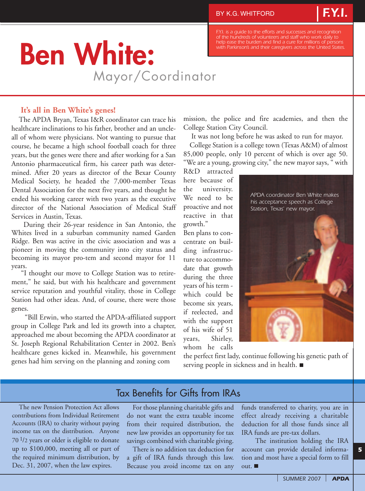*of the hundreds of volunteers and staff who work daily to help ease the burden and find a cure for millions of persons with Parkinson's and their caregivers across the United States.*

*F.Y.I.*

# **Ben White:** Mayor/Coordinator

**It's all in Ben White's genes!**

The APDA Bryan, Texas I&R coordinator can trace his healthcare inclinations to his father, brother and an uncleall of whom were physicians. Not wanting to pursue that course, he became a high school football coach for three years, but the genes were there and after working for a San Antonio pharmaceutical firm, his career path was determined. After 20 years as director of the Bexar County Medical Society, he headed the 7,000-member Texas Dental Association for the next five years, and thought he ended his working career with two years as the executive director of the National Association of Medical Staff Services in Austin, Texas.

During their 26-year residence in San Antonio, the Whites lived in a suburban community named Garden Ridge. Ben was active in the civic association and was a pioneer in moving the community into city status and becoming its mayor pro-tem and second mayor for 11 years.

"I thought our move to College Station was to retirement," he said, but with his healthcare and government service reputation and youthful vitality, those in College Station had other ideas. And, of course, there were those genes.

"Bill Erwin, who started the APDA-affiliated support group in College Park and led its growth into a chapter, approached me about becoming the APDA coordinator at St. Joseph Regional Rehabilitation Center in 2002. Ben's healthcare genes kicked in. Meanwhile, his government genes had him serving on the planning and zoning com

mission, the police and fire academies, and then the College Station City Council.

It was not long before he was asked to run for mayor.

College Station is a college town (Texas A&M) of almost 85,000 people, only 10 percent of which is over age 50. "We are a young, growing city," the new mayor says, " with

R&D attracted here because of the university. We need to be proactive and not reactive in that growth."

Ben plans to concentrate on building infrastructure to accommodate that growth during the three years of his term which could be become six years, if reelected, and with the support of his wife of 51 years, Shirley, whom he calls *APDA coordinator Ben White makes his acceptance speech as College Station, Texas' new mayor.*

the perfect first lady, continue following his genetic path of serving people in sickness and in health.

### Tax Benefits for Gifts from IRAs

The new Pension Protection Act allows contributions from Individual Retirement Accounts (IRA) to charity without paying income tax on the distribution. Anyone  $70<sup>1</sup>/2$  years or older is eligible to donate up to \$100,000, meeting all or part of the required minimum distribution, by Dec. 31, 2007, when the law expires.

For those planning charitable gifts and do not want the extra taxable income from their required distribution, the new law provides an opportunity for tax savings combined with charitable giving.

There is no addition tax deduction for a gift of IRA funds through this law. Because you avoid income tax on any

funds transferred to charity, you are in effect already receiving a charitable deduction for all those funds since all IRA funds are pre-tax dollars.

The institution holding the IRA account can provide detailed information and most have a special form to fill out.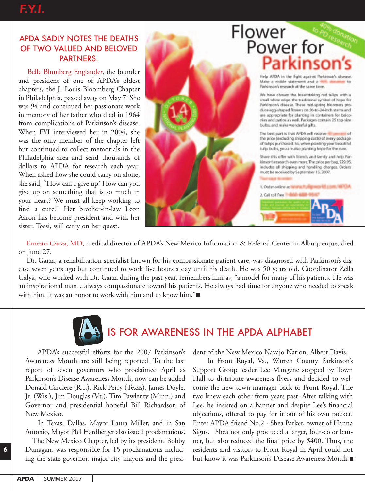### APDA SADLY NOTES THE DEATHS OF TWO VALUED AND BELOVED PARTNERS.

Belle Blumberg Englander, the founder and president of one of APDA's oldest chapters, the J. Louis Bloomberg Chapter in Philadelphia, passed away on May 7. She was 94 and continued her passionate work in memory of her father who died in 1964 from complications of Parkinson's disease. When FYI interviewed her in 2004, she was the only member of the chapter left but continued to collect memorials in the Philadelphia area and send thousands of dollars to APDA for research each year. When asked how she could carry on alone, she said, "How can I give up? How can you give up on something that is so much in your heart? We must all keep working to find a cure." Her brother-in-law Leon Aaron has become president and with her sister, Tossi, will carry on her quest.



### Ernesto Garza, MD, medical director of APDA's New Mexico Information & Referral Center in Albuquerque, died on June 27.

Dr. Garza, a rehabilitation specialist known for his compassionate patient care, was diagnosed with Parkinson's disease seven years ago but continued to work five hours a day until his death. He was 50 years old. Coordinator Zella Galya, who worked with Dr. Garza during the past year, remembers him as, "a model for many of his patients. He was an inspirational man…always compassionate toward his patients. He always had time for anyone who needed to speak with him. It was an honor to work with him and to know him."



## IS FOR AWARENESS IN THE APDA ALPHABET

APDA's successful efforts for the 2007 Parkinson's Awareness Month are still being reported. To the last report of seven governors who proclaimed April as Parkinson's Disease Awareness Month, now can be added Donald Carciere (R.I.), Rick Perry (Texas), James Doyle, Jr. (Wis.), Jim Douglas (Vt.), Tim Pawlenty (Minn.) and Governor and presidential hopeful Bill Richardson of New Mexico.

In Texas, Dallas, Mayor Laura Miller, and in San Antonio, Mayor Phil Hardberger also issued proclamations.

The New Mexico Chapter, led by its president, Bobby Dunagan, was responsible for 15 proclamations including the state governor, major city mayors and the president of the New Mexico Navajo Nation, Albert Davis.

In Front Royal, Va., Warren County Parkinson's Support Group leader Lee Mangene stopped by Town Hall to distribute awareness flyers and decided to welcome the new town manager back to Front Royal. The two knew each other from years past. After talking with Lee, he insisted on a banner and despite Lee's financial objections, offered to pay for it out of his own pocket. Enter APDA friend No.2 - Shea Parker, owner of Hanna Signs. Shea not only produced a larger, four-color banner, but also reduced the final price by \$400. Thus, the residents and visitors to Front Royal in April could not but know it was Parkinson's Disease Awareness Month.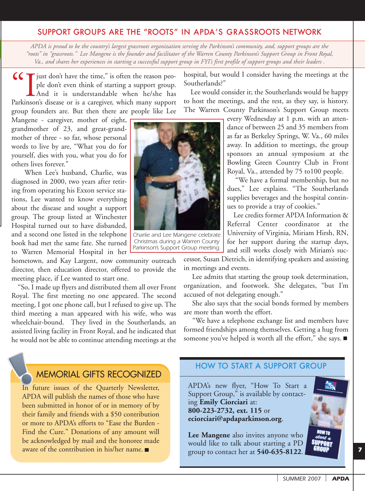### SUPPORT GROUPS ARE THE "ROOTS" IN APDA'S GRASSROOTS NETWORK

*APDA is proud to be the country's largest grassroots organization serving the Parkinson's community, and, support groups are the "roots" in "grassroots." Lee Mangene is the founder and facilitator of the Warren County Parkinson's Support Group in Front Royal, Va., and shares her experiences in starting a successful support group in FYI's first profile of support groups and their leaders .*

 $\zeta \zeta$  just don't have the time," is often the reason people don't even think of starting a support group. And it is understandable when he/she has Parkinson's disease or is a caregiver, which many support group founders are. But then there are people like Lee

Mangene - caregiver, mother of eight, grandmother of 23, and great-grandmother of three - so far, whose personal words to live by are, "What you do for yourself, dies with you, what you do for others lives forever."

When Lee's husband, Charlie, was diagnosed in 2000, two years after retiring from operating his Exxon service stations, Lee wanted to know everything about the disease and sought a support group. The group listed at Winchester Hospital turned out to have disbanded, and a second one listed in the telephone book had met the same fate. She turned to Warren Memorial Hospital in her

hometown, and Kay Largent, now community outreach director, then education director, offered to provide the meeting place, if Lee wanted to start one.

"So, I made up flyers and distributed them all over Front Royal. The first meeting no one appeared. The second meeting, I got one phone call, but I refused to give up. The third meeting a man appeared with his wife, who was wheelchair-bound. They lived in the Southerlands, an assisted living facility in Front Royal, and he indicated that he would not be able to continue attending meetings at the



*Charlie and Lee Mangene celebrate Christmas during a Warren County Parkinson's Support Group meeting.*

hospital, but would I consider having the meetings at the Southerlands?"

Lee would consider it; the Southerlands would be happy to host the meetings, and the rest, as they say, is history. The Warren County Parkinson's Support Group meets

> every Wednesday at 1 p.m. with an attendance of between 25 and 35 members from as far as Berkeley Springs, W. Va., 60 miles away. In addition to meetings, the group sponsors an annual symposium at the Bowling Green Country Club in Front Royal, Va., attended by 75 to100 people.

> "We have a formal membership, but no dues," Lee explains. "The Southerlands supplies beverages and the hospital continues to provide a tray of cookies."

> Lee credits former APDA Information & Referral Center coordinator at the University of Virginia, Miriam Hirsh, RN, for her support during the startup days, and still works closely with Miriam's suc-

cessor, Susan Dietrich, in identifying speakers and assisting in meetings and events.

Lee admits that starting the group took determination, organization, and footwork. She delegates, "but I'm accused of not delegating enough."

She also says that the social bonds formed by members are more than worth the effort.

"We have a telephone exchange list and members have formed friendships among themselves. Getting a hug from someone you've helped is worth all the effort," she says.

### MEMORIAL GIFTS RECOGNIZED

In future issues of the Quarterly Newsletter, APDA will publish the names of those who have been submitted in honor of or in memory of by their family and friends with a \$50 contribution or more to APDA's efforts to "Ease the Burden - Find the Cure." Donations of any amount will be acknowledged by mail and the honoree made aware of the contribution in his/her name.

### HOW TO START A SUPPORT GROUP

APDA's new flyer, "How To Start a Support Group," is available by contacting **Emily Ciorciari** at: **800-223-2732, ext. 115** or **eciorciari@apdaparkinson.org**.

**Lee Mangene** also invites anyone who would like to talk about starting a PD group to contact her at **540-635-8122**.

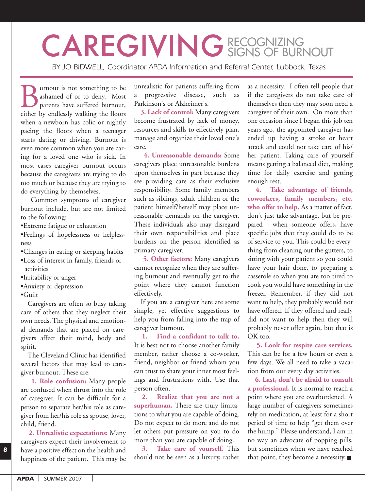# CAREGIVING RECOGNIZING

*BY JO BIDWELL, Coordinator APDA Information and Referral Center, Lubbock, Texas*

**Burnout is not something to be**<br> **ashamed of or to deny.** Most<br>
parents have suffered burnout,<br>
either by endlessly walking the floors ashamed of or to deny. Most parents have suffered burnout, when a newborn has colic or nightly pacing the floors when a teenager starts dating or driving. Burnout is even more common when you are caring for a loved one who is sick. In most cases caregiver burnout occurs because the caregivers are trying to do too much or because they are trying to do everything by themselves.

Common symptoms of caregiver burnout include, but are not limited to the following:

- •Extreme fatigue or exhaustion
- •Feelings of hopelessness or helplessness
- •Changes in eating or sleeping habits
- •Loss of interest in family, friends or activities
- •Irritability or anger
- •Anxiety or depression
- •Guilt

Caregivers are often so busy taking care of others that they neglect their own needs. The physical and emotional demands that are placed on caregivers affect their mind, body and spirit.

The Cleveland Clinic has identified several factors that may lead to caregiver burnout. These are:

**1. Role confusion:** Many people are confused when thrust into the role of caregiver. It can be difficult for a person to separate her/his role as caregiver from her/his role as spouse, lover, child, friend.

**2. Unrealistic expectations:** Many caregivers expect their involvement to have a positive effect on the health and happiness of the patient. This may be

unrealistic for patients suffering from a progressive disease, such as Parkinson's or Alzheimer's.

**3. Lack of control:** Many caregivers become frustrated by lack of money, resources and skills to effectively plan, manage and organize their loved one's care.

**4. Unreasonable demands:** Some caregivers place unreasonable burdens upon themselves in part because they see providing care as their exclusive responsibility. Some family members such as siblings, adult children or the patient himself/herself may place unreasonable demands on the caregiver. These individuals also may disregard their own responsibilities and place burdens on the person identified as primary caregiver.

**5. Other factors:** Many caregivers cannot recognize when they are suffering burnout and eventually get to the point where they cannot function effectively.

If you are a caregiver here are some simple, yet effective suggestions to help you from falling into the trap of caregiver burnout.

**1. Find a confidant to talk to.** It is best not to choose another family member, rather choose a co-worker, friend, neighbor or friend whom you can trust to share your inner most feelings and frustrations with. Use that person often.

**2. Realize that you are not a superhuman.** There are truly limitations to what you are capable of doing. Do not expect to do more and do not let others put pressure on you to do more than you are capable of doing.

**3. Take care of yourself.** This should not be seen as a luxury, rather as a necessity. I often tell people that if the caregivers do not take care of themselves then they may soon need a caregiver of their own. On more than one occasion since I began this job ten years ago, the appointed caregiver has ended up having a stroke or heart attack and could not take care of his/ her patient. Taking care of yourself means getting a balanced diet, making time for daily exercise and getting enough rest.

**4. Take advantage of friends, coworkers, family members, etc. who offer to help.** As a matter of fact, don't just take advantage, but be prepared - when someone offers, have specific jobs that they could do to be of service to you. This could be everything from cleaning out the gutters, to sitting with your patient so you could have your hair done, to preparing a casserole so when you are too tired to cook you would have something in the freezer. Remember, if they did not want to help, they probably would not have offered. If they offered and really did not want to help then they will probably never offer again, but that is OK too.

**5. Look for respite care services.** This can be for a few hours or even a few days. We all need to take a vacation from our every day activities.

**6. Last, don't be afraid to consult a professional.** It is normal to reach a point where you are overburdened. A large number of caregivers sometimes rely on medication, at least for a short period of time to help "get them over the hump." Please understand, I am in no way an advocate of popping pills, but sometimes when we have reached that point, they become a necessity.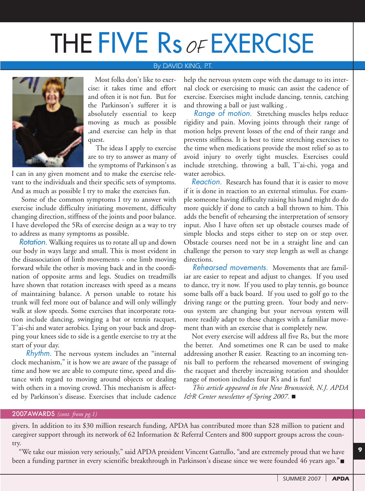# THE FIVE Rs of EXERCISE

### *By DAVID KING, P.T.*



Most folks don't like to exercise: it takes time and effort and often it is not fun. But for the Parkinson's sufferer it is absolutely essential to keep moving as much as possible ,and exercise can help in that quest.

The ideas I apply to exercise are to try to answer as many of the symptoms of Parkinson's as

I can in any given moment and to make the exercise relevant to the individuals and their specific sets of symptoms. And as much as possible I try to make the exercises fun.

Some of the common symptoms I try to answer with exercise include difficulty initiating movement, difficulty changing direction, stiffness of the joints and poor balance. I have developed the 5Rs of exercise design as a way to try to address as many symptoms as possible.

**Rotation.** Walking requires us to rotate all up and down our body in ways large and small. This is most evident in the disassociation of limb movements - one limb moving forward while the other is moving back and in the coordination of opposite arms and legs. Studies on treadmills have shown that rotation increases with speed as a means of maintaining balance. A person unable to rotate his trunk will feel more out of balance and will only willingly walk at slow speeds. Some exercises that incorporate rotation include dancing, swinging a bat or tennis racquet, T'ai-chi and water aerobics. Lying on your back and dropping your knees side to side is a gentle exercise to try at the start of your day.

Rhythm. The nervous system includes an "internal clock mechanism," it is how we are aware of the passage of time and how we are able to compute time, speed and distance with regard to moving around objects or dealing with others in a moving crowd. This mechanism is affected by Parkinson's disease. Exercises that include cadence

help the nervous system cope with the damage to its internal clock or exercising to music can assist the cadence of exercise. Exercises might include dancing, tennis, catching and throwing a ball or just walking .

Range of motion. Stretching muscles helps reduce rigidity and pain. Moving joints through their range of motion helps prevent losses of the end of their range and prevents stiffness. It is best to time stretching exercises to the time when medications provide the most relief so as to avoid injury to overly tight muscles. Exercises could include stretching, throwing a ball, T'ai-chi, yoga and water aerobics.

Reaction. Research has found that it is easier to move if it is done in reaction to an external stimulus. For example someone having difficulty raising his hand might do do more quickly if done to catch a ball thrown to him. This adds the benefit of rehearsing the interpretation of sensory input. Also I have often set up obstacle courses made of simple blocks and steps either to step on or step over. Obstacle courses need not be in a straight line and can challenge the person to vary step length as well as change directions.

Rehearsed movements. Movements that are familiar are easier to repeat and adjust to changes. If you used to dance, try it now. If you used to play tennis, go bounce some balls off a back board. If you used to golf go to the driving range or the putting green. Your body and nervous system are changing but your nervous system will more readily adapt to these changes with a familiar movement than with an exercise that is completely new.

Not every exercise will address all five Rs, but the more the better. And sometimes one R can be used to make addressing another R easier. Reacting to an incoming tennis ball to perform the rehearsed movement of swinging the racquet and thereby increasing rotation and shoulder range of motion includes four R's and is fun!

*This article appeared in the New Brunswick, N.J. APDA I&R Center newsletter of Spring 2007.*

### 2007AWARDS *(cont. from pg.1)*

givers. In addition to its \$30 million research funding, APDA has contributed more than \$28 million to patient and caregiver support through its network of 62 Information & Referral Centers and 800 support groups across the country.

"We take our mission very seriously," said APDA president Vincent Gattullo, "and are extremely proud that we have been a funding partner in every scientific breakthrough in Parkinson's disease since we were founded 46 years ago."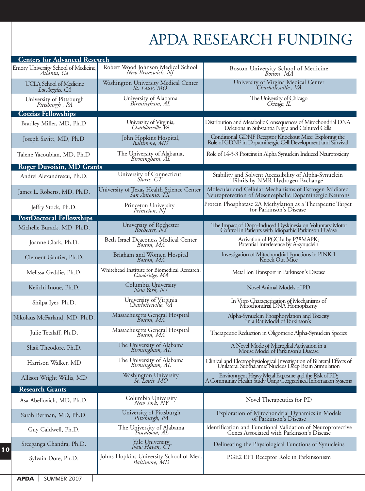# APDA RESEARCH FUNDING

| <b>Centers for Advanced Research</b>                |                                                               |                                                                                                                                  |
|-----------------------------------------------------|---------------------------------------------------------------|----------------------------------------------------------------------------------------------------------------------------------|
| Emory University School of Medicine,<br>Atlánta, Ga | Robert Wood Johnson Medical School<br>New Brunswick, NJ       | Boston University School of Medicine<br>Boston, MA                                                                               |
| <b>UCLA School of Medicine</b><br>Los Angeles, CA   | Washington University Medical Center<br>St. Louis, MO         | University of Virgina Medical Center<br>Charlottesville, VA                                                                      |
| University of Pittsburgh<br>Pittsburgh, PA          | University of Alabama<br>Birmingham, AL                       | The University of Chicago<br>Chicago, IL                                                                                         |
| <b>Cotzias Fellowships</b>                          |                                                               |                                                                                                                                  |
| Bradley Miller, MD, Ph.D                            | University of Virginia,<br>Charlottesville, VA                | Distribution and Metabolic Consequences of Mitochondrial DNA<br>Deletions in Substantia Nigra and Cultured Cells                 |
| Joseph Savitt, MD, Ph.D                             | John Hopkins Hospital,<br>Baltimore, MD                       | Conditional GDNF Receptor Knockout Mice: Exploring the<br>Role of GDNF in Dopaminergic Cell Development and Survival             |
| Talene Yacoubian, MD, Ph.D                          | The University of Alabama,<br>Birmingham, AL                  | Role of 14-3-3 Proteins in Alpha Synuclein Induced Neurotoxicity                                                                 |
| <b>Roger Duvoisin, MD Grants</b>                    |                                                               |                                                                                                                                  |
| Andrei Alexandrescu, Ph.D.                          | University of Connecticut<br>Storrs, CT                       | Stability and Solvent Accessibility of Alpha-Synuclein<br>Fibrils by NMR Hydrogen Exchange                                       |
| James L. Roberts, MD, Ph.D.                         | University of Texas Health Science Center<br>San Antonio, TX  | Molecular and Cellular Mechanisms of Estrogen Midiated<br>Neuroprotection of Mesencephalic Dopaminergic Neurons                  |
| Jeffry Stock, Ph.D.                                 | Princeton University<br>Princeton, NJ                         | Protein Phosphatase 2A Methylation as a Therapeutic Target<br>for Parkinson's Disease                                            |
| <b>PostDoctoral Fellowships</b>                     |                                                               |                                                                                                                                  |
| Michelle Burack, MD, Ph.D.                          | University of Rochester<br>Rochester, NY                      | The Impact of Dopa-Induced Dyskinesia on Voluntary Motor<br>Control in Patients with Idiopathic Parkinson Disease                |
| Joanne Clark, Ph.D.                                 | Beth Israel Deaconess Medical Center<br>Boston, MA            | Activation of PGC1a by P38MAPK;<br>Potential Interference by A-synuclein                                                         |
| Clement Gautier, Ph.D.                              | Brigham and Women Hospital<br>Boston, MA                      | Investigation of Mitochondrial Functions in PINK 1<br>Knock Out Mice                                                             |
| Melissa Geddie, Ph.D.                               | Whitehead Institute for Biomedical Research,<br>Cambridge, MA | Metal Ion Transport in Parkinson's Disease                                                                                       |
| Keiichi Inoue, Ph.D.                                | Columbia University<br>New York, NY                           | Novel Animal Models of PD                                                                                                        |
| Shilpa Iyer, Ph.D.                                  | University of Virginia<br>Charlottesville, VA                 | In Vitro Characterization of Mechanisms of<br>Mitochondrial DNA Homoplasmy                                                       |
| Nikolaus McFarland, MD, Ph.D.                       | Massachusetts General Hospital<br>Boston, MA                  | Alpha-Synuclein Phosphorylation and Toxicity<br>in a Rat Model of Parkinson's                                                    |
| Julie Tetzlaff, Ph.D.                               | Massachusetts General Hospital<br>Boston, MA                  | Therapeutic Reduction in Oligomeric Alpha-Synuclein Species                                                                      |
| Shaji Theodore, Ph.D.                               | The University of Alabama<br>Birmingham, AL                   | A Novel Mode of Microglial Activation in a<br>Mouse Model of Parkinson's Disease                                                 |
| Harrison Walker, MD                                 | The University of Alabama<br>Birmingham, AL                   | Clinical and Electrophysiological Investigation of Bilateral Effects of<br>Unilateral Subthalamic Nucleus Deep Brain Stimulation |
| Allison Wright Willis, MD                           | Washington University<br>St. Louis, MO                        | Environment Heavy Metal Exposure and the Risk of PD:<br>A Community Health Study Using Geographical Information Systems          |
| <b>Research Grants</b>                              |                                                               |                                                                                                                                  |
| Asa Abeliovich, MD, Ph.D.                           | Columbia University<br>New York, NY                           | Novel Therapeutics for PD                                                                                                        |
| Sarah Berman, MD, Ph.D.                             | University of Pittsburgh<br>Pittsburgh, PA                    | Exploration of Mitochondrial Dynamics in Models<br>of Parkinson's Disease                                                        |
| Guy Caldwell, Ph.D.                                 | The University of Alabama<br>Tuscaloosa, AL                   | Identification and Functional Validation of Neuroprotective<br>Genes Associated with Parkinson's Disease                         |
| Sreeganga Chandra, Ph.D.                            | Yale University<br>New Haven, CT                              | Delineating the Physiological Functions of Synucleins                                                                            |
| Sylvain Dore, Ph.D.                                 | Johns Hopkins University School of Med.<br>Baltimore, MD      | PGE2 EP1 Receptor Role in Parkinsonism                                                                                           |

 $\overline{1}$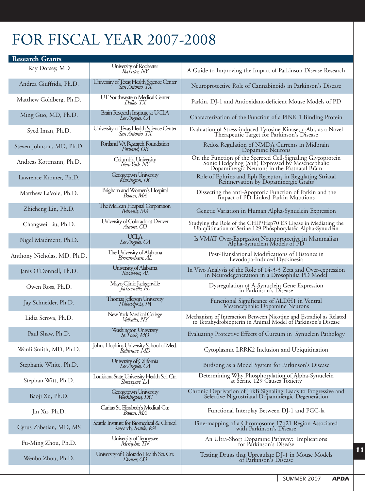## FOR FISCAL YEAR 2007-2008

| <b>Research Grants</b>      |                                                                      |                                                                                                                                                               |
|-----------------------------|----------------------------------------------------------------------|---------------------------------------------------------------------------------------------------------------------------------------------------------------|
| Ray Dorsey, MD              | University of Rochester<br>Rochester, NY                             | A Guide to Improving the Impact of Parkinson Disease Research                                                                                                 |
| Andrea Giuffrida, Ph.D.     | University of Texas Health Science Center<br>San Antonio, TX         | Neuroprotective Role of Cannabinoids in Parkinson's Disease                                                                                                   |
| Matthew Goldberg, Ph.D.     | UT Southwestern Medical Center<br>Dallas, TX                         | Parkin, DJ-1 and Antioxidant-deficient Mouse Models of PD                                                                                                     |
| Ming Guo, MD, Ph.D.         | Brain Research Institute at UCLA<br>Los Angeles, CA                  | Characterization of the Function of a PINK 1 Binding Protein                                                                                                  |
| Syed Iman, Ph.D.            | University of Texas Health Science Center<br>San Antonio, TX         | Evaluation of Stress-induced Tyrosine Kinase, c-Abl, as a Novel<br>Therapeutic Target for Parkinson's Disease                                                 |
| Steven Johnson, MD, Ph.D.   | Portland VA Research Foundation<br>Portland, OR                      | Redox Regulation of NMDA Currents in Midbrain<br>Dopamine Neurons                                                                                             |
| Andreas Kottmann, Ph.D.     | Columbia University<br>New York, NY                                  | On the Function of the Secreted Cell-Signaling Glycoprotein<br>Sonic Hedgehog (Shh) Expressed by Mesencephalic<br>Dopaminergic Neurons in the Postnatal Brain |
| Lawrence Kromer, Ph.D.      | Georgetown University<br>Washington, DC                              | Role of Ephrins and Eph Receptors in Regulating Striatal<br>Reinnervation by Dopaminergic Grafts                                                              |
| Matthew LaVoie, Ph.D.       | Brigham and Women's Hospital<br>Boston, MA                           | Dissecting the anti-Apoptotic Function of Parkin and the<br>Impact of PD-Linked Parkin Mutations                                                              |
| Zhicheng Lin, Ph.D.         | The McLean Hospital Corporation<br>Belmont, MA                       | Genetic Variation in Human Alpha-Synuclein Expression                                                                                                         |
| Changwei Liu, Ph.D.         | University of Colorado at Denver<br>Aurora, CO                       | Studying the Role of the CHIP/Hsp70 E3 Ligase in Mediating the<br>Ubiquitination of Serine 129 Phosphorylated Alpha-Synuclein                                 |
| Nigel Maidment, Ph.D.       | <b>UCLA</b><br>Los Angeles, CA                                       | Is VMAT Over-Expression Neuroprotective in Mammalian<br>Alpha-Synuclein Models of PD                                                                          |
| Anthony Nicholas, MD, Ph.D. | The University of Alabama<br>Birmingham, AL                          | Post-Translational Modifications of Histones in<br>Levodopa-Induced Dyskinesia                                                                                |
| Janis O'Donnell, Ph.D.      | University of Alabama<br>Tuscaloosa, AL                              | In Vivo Analysis of the Role of 14-3-3 Zeta and Over-expression<br>in Neurodegeneration in a Drosophilia PD Model                                             |
| Owen Ross, Ph.D.            | Mayo Clinic Jacksonville<br>Jacksonville, FL                         | Dysregulation of A-Synuclein Gene Expression<br>in Parkinson's Disease                                                                                        |
| Jay Schneider, Ph.D.        | Thomas Jefferson University<br>Philadelphia, PA                      | Functional Significance of ALDH1 in Ventral<br>Mesencephalic Dopamine Neurons                                                                                 |
| Lidia Serova, Ph.D.         | New York Medical College<br>Valhalla, NY                             | Mechanism of Interaction Between Nicotine and Estradiol as Related<br>to Tetrahydrobiopterin in Animal Model of Parkinson's Disease                           |
| Paul Shaw, Ph.D.            | Washington University<br>St. Louis, MO                               | Evaluating Protective Effects of Curcum in Synuclein Pathology                                                                                                |
| Wanli Smith, MD, Ph.D.      | Johns Hopkins University School of Med.<br>Baltimore, MD             | Cytoplasmic LRRK2 Inclusion and Ubiquitination                                                                                                                |
| Stephanie White, Ph.D.      | University of California<br>Los Angeles, CA                          | Birdsong as a Model System for Parkinson's Disease                                                                                                            |
| Stephan Witt, Ph.D.         | Louisiana State University Health Sci. Ctr.<br>Shreveport, LA        | Determining Why Phosphorylation of Alpha-Synuclein<br>at Serine 129 Causes Toxicity                                                                           |
| Baoji Xu, Ph.D.             | Georgetown University<br>Washington, DC                              | Chronic Deprivation of TrkB Signaling Leads to Progressive and<br>Selective Nigrostriatal Dopaminergic Degeneration                                           |
| Jin Xu, Ph.D.               | Caritas St. Elizabeth's Medical Ctr.<br>Boston, MA                   | Functional Interplay Between DJ-1 and PGC-la                                                                                                                  |
| Cyrus Zabetian, MD, MS      | Seattle Institute for Biomedical & Clinical<br>Research, Seattle, WA | Fine-mapping of a Chromosome 17q21 Region Associated<br>with Parkinson's Disease                                                                              |
| Fu-Ming Zhou, Ph.D.         | University of Tennessee<br>Memphis, TN                               | An Ultra-Short Dopamine Pathway: Implications<br>for Parkinson's Disease                                                                                      |
| Wenbo Zhou, Ph.D.           | University of Colorado Health Sci. Ctr.<br>Denver, CO                | Testing Drugs that Upregulate DJ-1 in Mouse Models<br>of Parkinson's Disease                                                                                  |
|                             |                                                                      |                                                                                                                                                               |